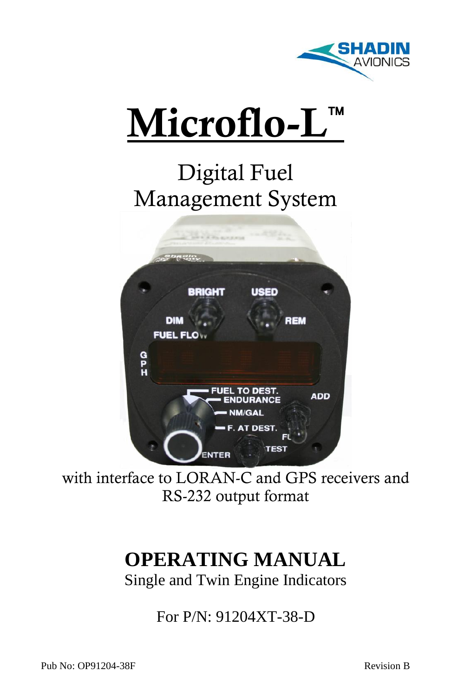



# Digital Fuel Management System



with interface to LORAN-C and GPS receivers and RS-232 output format

# **OPERATING MANUAL**

Single and Twin Engine Indicators

For P/N: 91204XT-38-D

Pub No: OP91204-38F Revision B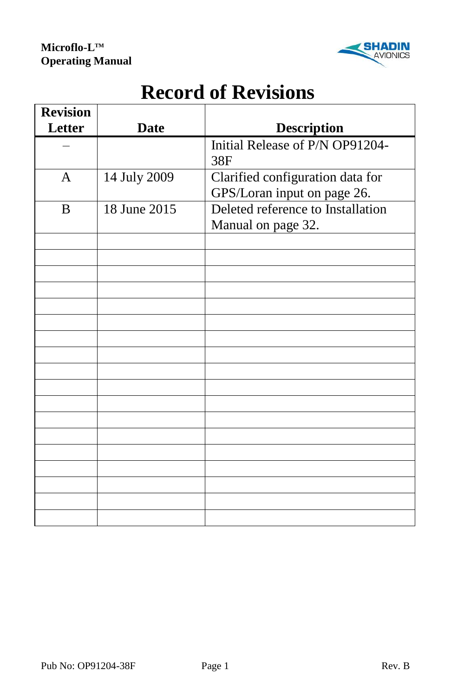

# **Record of Revisions**

| <b>Revision</b> |              |                                   |  |
|-----------------|--------------|-----------------------------------|--|
| Letter          | <b>Date</b>  | <b>Description</b>                |  |
|                 |              | Initial Release of P/N OP91204-   |  |
|                 |              | 38F                               |  |
| $\mathbf{A}$    | 14 July 2009 | Clarified configuration data for  |  |
|                 |              | GPS/Loran input on page 26.       |  |
| B               | 18 June 2015 | Deleted reference to Installation |  |
|                 |              | Manual on page 32.                |  |
|                 |              |                                   |  |
|                 |              |                                   |  |
|                 |              |                                   |  |
|                 |              |                                   |  |
|                 |              |                                   |  |
|                 |              |                                   |  |
|                 |              |                                   |  |
|                 |              |                                   |  |
|                 |              |                                   |  |
|                 |              |                                   |  |
|                 |              |                                   |  |
|                 |              |                                   |  |
|                 |              |                                   |  |
|                 |              |                                   |  |
|                 |              |                                   |  |
|                 |              |                                   |  |
|                 |              |                                   |  |
|                 |              |                                   |  |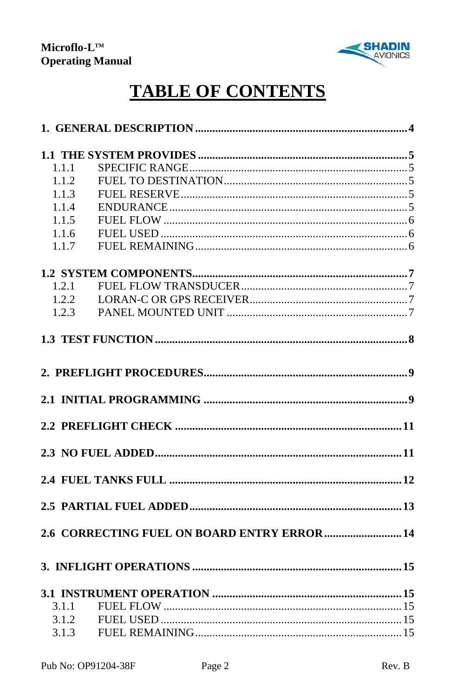

# **TABLE OF CONTENTS**

| 1.1.1          |                                              |
|----------------|----------------------------------------------|
| 1.1.2          |                                              |
| 1.1.3          |                                              |
| 1.1.4          |                                              |
| 1.1.5          |                                              |
| 1.1.6          |                                              |
| 1.1.7          |                                              |
|                |                                              |
| 1.2.1          |                                              |
| 1.2.2          |                                              |
| 1.2.3          |                                              |
|                |                                              |
|                |                                              |
|                |                                              |
|                |                                              |
|                |                                              |
|                |                                              |
|                |                                              |
|                |                                              |
|                |                                              |
|                | 2.6 CORRECTING FUEL ON BOARD ENTRY ERROR  14 |
|                |                                              |
|                |                                              |
|                |                                              |
| 3.1.1          |                                              |
| 3.1.2<br>3.1.3 |                                              |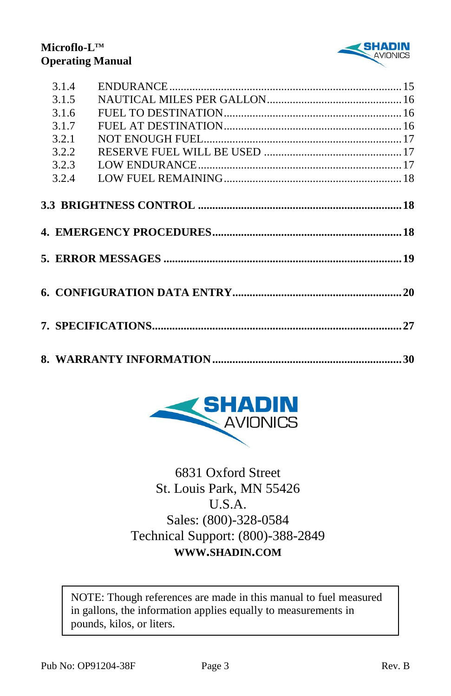

| 3.1.4 |  |
|-------|--|
| 3.1.5 |  |
| 3.1.6 |  |
| 3.1.7 |  |
| 3.2.1 |  |
| 3.2.2 |  |
| 3.2.3 |  |
| 3.2.4 |  |
|       |  |
|       |  |
|       |  |
|       |  |
|       |  |





6831 Oxford Street St. Louis Park, MN 55426 U.S.A. Sales: (800)-328-0584 Technical Support: (800)-388-2849 **WWW.SHADIN.COM**

NOTE: Though references are made in this manual to fuel measured in gallons, the information applies equally to measurements in pounds, kilos, or liters.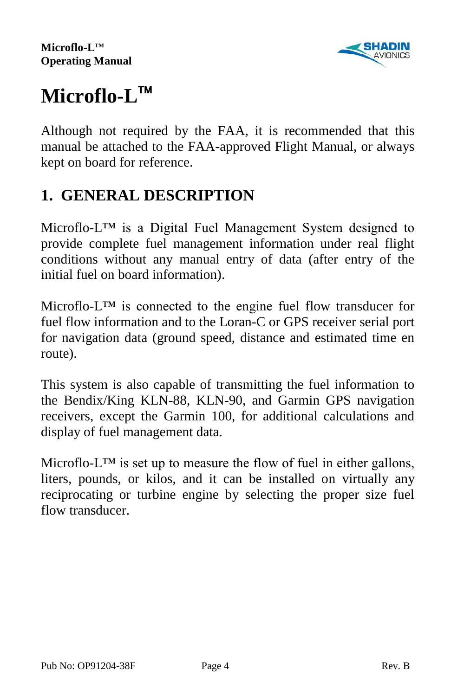

# **Microflo-L**

Although not required by the FAA, it is recommended that this manual be attached to the FAA-approved Flight Manual, or always kept on board for reference.

# **1. GENERAL DESCRIPTION**

Microflo-L™ is a Digital Fuel Management System designed to provide complete fuel management information under real flight conditions without any manual entry of data (after entry of the initial fuel on board information).

Microflo-L™ is connected to the engine fuel flow transducer for fuel flow information and to the Loran-C or GPS receiver serial port for navigation data (ground speed, distance and estimated time en route).

This system is also capable of transmitting the fuel information to the Bendix/King KLN-88, KLN-90, and Garmin GPS navigation receivers, except the Garmin 100, for additional calculations and display of fuel management data.

Microflo- $L^{TM}$  is set up to measure the flow of fuel in either gallons, liters, pounds, or kilos, and it can be installed on virtually any reciprocating or turbine engine by selecting the proper size fuel flow transducer.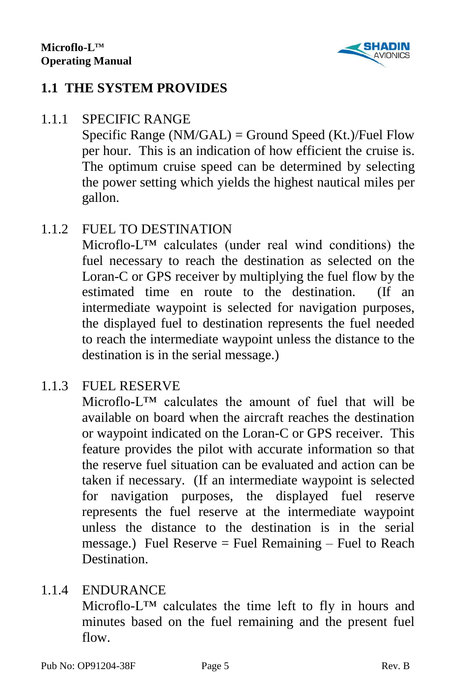

## **1.1 THE SYSTEM PROVIDES**

#### 1.1.1 SPECIFIC RANGE

Specific Range (NM/GAL) = Ground Speed (Kt.)/Fuel Flow per hour. This is an indication of how efficient the cruise is. The optimum cruise speed can be determined by selecting the power setting which yields the highest nautical miles per gallon.

## 1.1.2 FUEL TO DESTINATION

Microflo-L™ calculates (under real wind conditions) the fuel necessary to reach the destination as selected on the Loran-C or GPS receiver by multiplying the fuel flow by the estimated time en route to the destination. (If an intermediate waypoint is selected for navigation purposes, the displayed fuel to destination represents the fuel needed to reach the intermediate waypoint unless the distance to the destination is in the serial message.)

## 1.1.3 FUEL RESERVE

Microflo-L<sup>TM</sup> calculates the amount of fuel that will be available on board when the aircraft reaches the destination or waypoint indicated on the Loran-C or GPS receiver. This feature provides the pilot with accurate information so that the reserve fuel situation can be evaluated and action can be taken if necessary. (If an intermediate waypoint is selected for navigation purposes, the displayed fuel reserve represents the fuel reserve at the intermediate waypoint unless the distance to the destination is in the serial message.) Fuel Reserve  $=$  Fuel Remaining  $-$  Fuel to Reach **Destination** 

#### 1.1.4 ENDURANCE

Microflo-L™ calculates the time left to fly in hours and minutes based on the fuel remaining and the present fuel flow.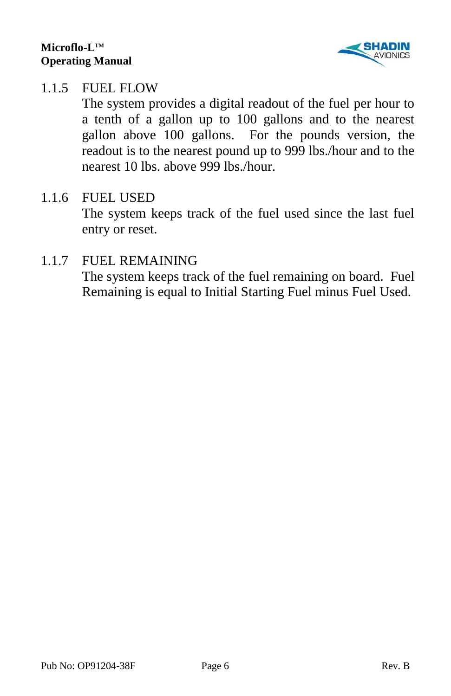

#### 1.1.5 FUEL FLOW

The system provides a digital readout of the fuel per hour to a tenth of a gallon up to 100 gallons and to the nearest gallon above 100 gallons. For the pounds version, the readout is to the nearest pound up to 999 lbs./hour and to the nearest 10 lbs. above 999 lbs./hour.

#### 1.1.6 FUEL USED

The system keeps track of the fuel used since the last fuel entry or reset.

#### 1.1.7 FUEL REMAINING

The system keeps track of the fuel remaining on board. Fuel Remaining is equal to Initial Starting Fuel minus Fuel Used.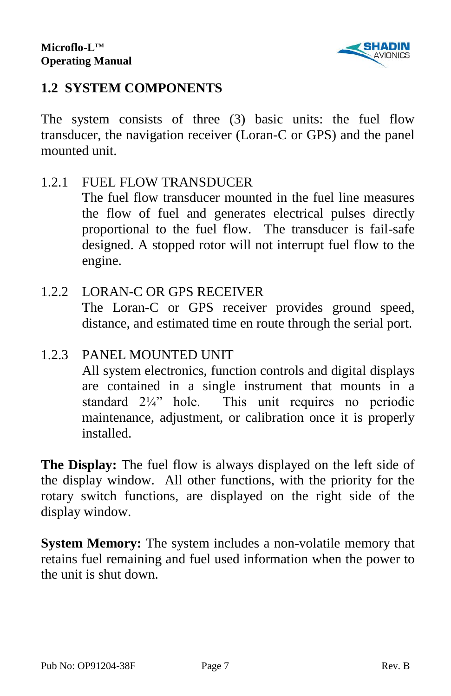

## **1.2 SYSTEM COMPONENTS**

The system consists of three (3) basic units: the fuel flow transducer, the navigation receiver (Loran-C or GPS) and the panel mounted unit.

1.2.1 FUEL FLOW TRANSDUCER The fuel flow transducer mounted in the fuel line measures the flow of fuel and generates electrical pulses directly

proportional to the fuel flow. The transducer is fail-safe designed. A stopped rotor will not interrupt fuel flow to the engine.

1.2.2 LORAN-C OR GPS RECEIVER The Loran-C or GPS receiver provides ground speed, distance, and estimated time en route through the serial port.

#### 1.2.3 PANEL MOUNTED UNIT

All system electronics, function controls and digital displays are contained in a single instrument that mounts in a standard 2¼" hole. This unit requires no periodic maintenance, adjustment, or calibration once it is properly installed.

**The Display:** The fuel flow is always displayed on the left side of the display window. All other functions, with the priority for the rotary switch functions, are displayed on the right side of the display window.

**System Memory:** The system includes a non-volatile memory that retains fuel remaining and fuel used information when the power to the unit is shut down.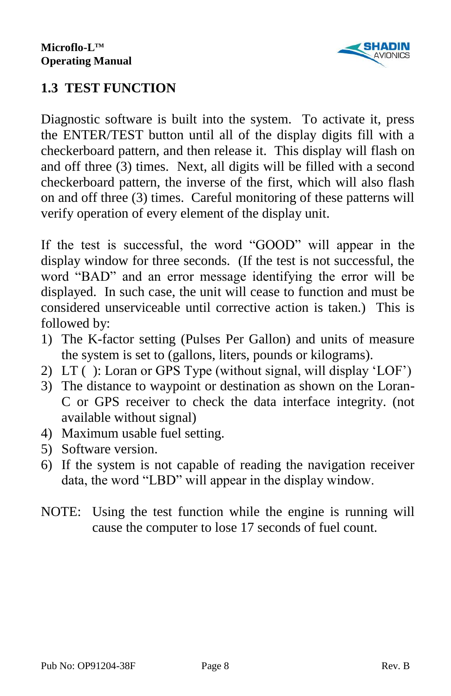

# **1.3 TEST FUNCTION**

Diagnostic software is built into the system. To activate it, press the ENTER/TEST button until all of the display digits fill with a checkerboard pattern, and then release it. This display will flash on and off three (3) times. Next, all digits will be filled with a second checkerboard pattern, the inverse of the first, which will also flash on and off three (3) times. Careful monitoring of these patterns will verify operation of every element of the display unit.

If the test is successful, the word "GOOD" will appear in the display window for three seconds. (If the test is not successful, the word "BAD" and an error message identifying the error will be displayed. In such case, the unit will cease to function and must be considered unserviceable until corrective action is taken.) This is followed by:

- 1) The K-factor setting (Pulses Per Gallon) and units of measure the system is set to (gallons, liters, pounds or kilograms).
- 2) LT ( ): Loran or GPS Type (without signal, will display 'LOF')
- 3) The distance to waypoint or destination as shown on the Loran-C or GPS receiver to check the data interface integrity. (not available without signal)
- 4) Maximum usable fuel setting.
- 5) Software version.
- 6) If the system is not capable of reading the navigation receiver data, the word "LBD" will appear in the display window.
- NOTE: Using the test function while the engine is running will cause the computer to lose 17 seconds of fuel count.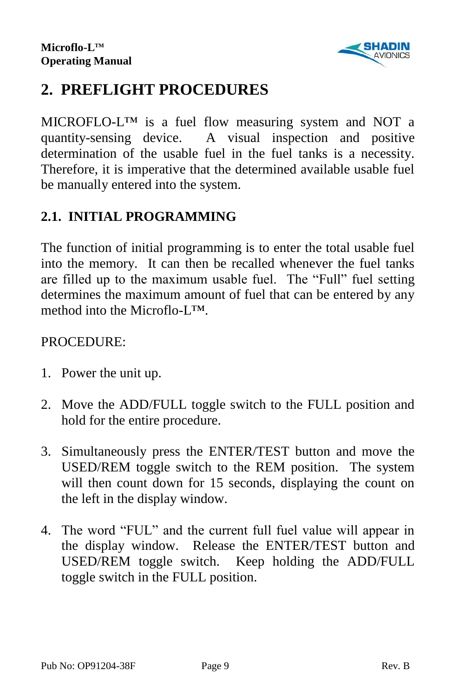

# **2. PREFLIGHT PROCEDURES**

MICROFLO-L™ is a fuel flow measuring system and NOT a quantity-sensing device. A visual inspection and positive determination of the usable fuel in the fuel tanks is a necessity. Therefore, it is imperative that the determined available usable fuel be manually entered into the system.

# **2.1. INITIAL PROGRAMMING**

The function of initial programming is to enter the total usable fuel into the memory. It can then be recalled whenever the fuel tanks are filled up to the maximum usable fuel. The "Full" fuel setting determines the maximum amount of fuel that can be entered by any method into the Microflo-L™.

#### PROCEDURE:

- 1. Power the unit up.
- 2. Move the ADD/FULL toggle switch to the FULL position and hold for the entire procedure.
- 3. Simultaneously press the ENTER/TEST button and move the USED/REM toggle switch to the REM position. The system will then count down for 15 seconds, displaying the count on the left in the display window.
- 4. The word "FUL" and the current full fuel value will appear in the display window. Release the ENTER/TEST button and USED/REM toggle switch. Keep holding the ADD/FULL toggle switch in the FULL position.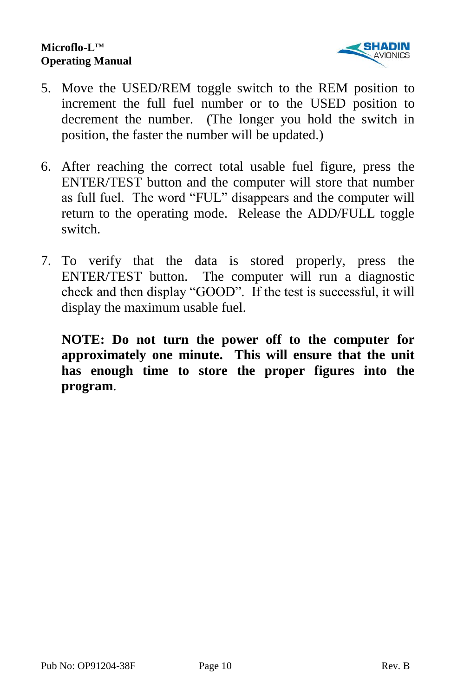

- 5. Move the USED/REM toggle switch to the REM position to increment the full fuel number or to the USED position to decrement the number. (The longer you hold the switch in position, the faster the number will be updated.)
- 6. After reaching the correct total usable fuel figure, press the ENTER/TEST button and the computer will store that number as full fuel. The word "FUL" disappears and the computer will return to the operating mode. Release the ADD/FULL toggle switch.
- 7. To verify that the data is stored properly, press the ENTER/TEST button. The computer will run a diagnostic check and then display "GOOD". If the test is successful, it will display the maximum usable fuel.

**NOTE: Do not turn the power off to the computer for approximately one minute. This will ensure that the unit has enough time to store the proper figures into the program**.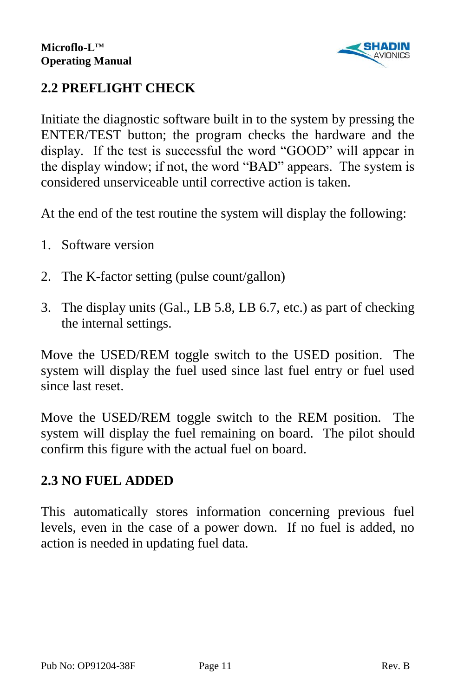

# **2.2 PREFLIGHT CHECK**

Initiate the diagnostic software built in to the system by pressing the ENTER/TEST button; the program checks the hardware and the display. If the test is successful the word "GOOD" will appear in the display window; if not, the word "BAD" appears. The system is considered unserviceable until corrective action is taken.

At the end of the test routine the system will display the following:

- 1. Software version
- 2. The K-factor setting (pulse count/gallon)
- 3. The display units (Gal., LB 5.8, LB 6.7, etc.) as part of checking the internal settings.

Move the USED/REM toggle switch to the USED position. The system will display the fuel used since last fuel entry or fuel used since last reset.

Move the USED/REM toggle switch to the REM position. The system will display the fuel remaining on board. The pilot should confirm this figure with the actual fuel on board.

# **2.3 NO FUEL ADDED**

This automatically stores information concerning previous fuel levels, even in the case of a power down. If no fuel is added, no action is needed in updating fuel data.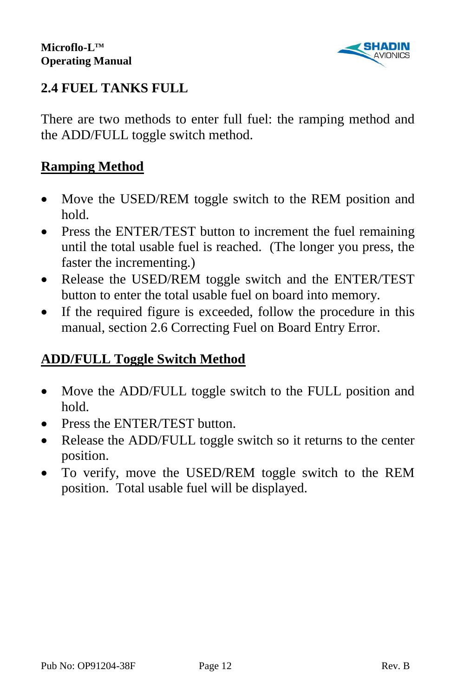

# **2.4 FUEL TANKS FULL**

There are two methods to enter full fuel: the ramping method and the ADD/FULL toggle switch method.

### **Ramping Method**

- Move the USED/REM toggle switch to the REM position and hold.
- Press the ENTER/TEST button to increment the fuel remaining until the total usable fuel is reached. (The longer you press, the faster the incrementing.)
- Release the USED/REM toggle switch and the ENTER/TEST button to enter the total usable fuel on board into memory.
- If the required figure is exceeded, follow the procedure in this manual, section 2.6 Correcting Fuel on Board Entry Error.

#### **ADD/FULL Toggle Switch Method**

- Move the ADD/FULL toggle switch to the FULL position and hold.
- Press the ENTER/TEST button.
- Release the ADD/FULL toggle switch so it returns to the center position.
- To verify, move the USED/REM toggle switch to the REM position. Total usable fuel will be displayed.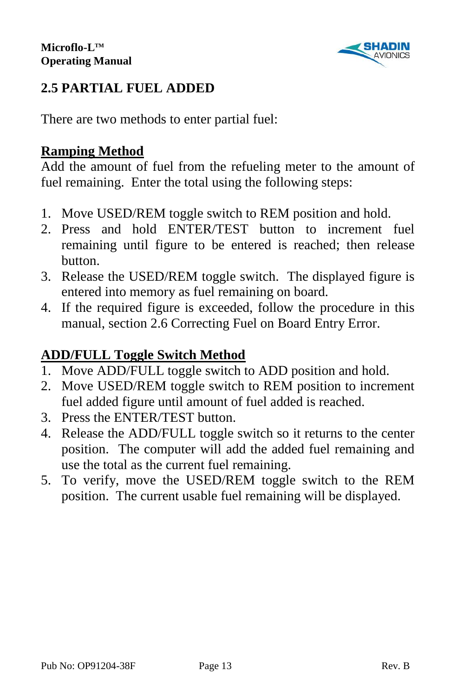

## **2.5 PARTIAL FUEL ADDED**

There are two methods to enter partial fuel:

## **Ramping Method**

Add the amount of fuel from the refueling meter to the amount of fuel remaining. Enter the total using the following steps:

- 1. Move USED/REM toggle switch to REM position and hold.
- 2. Press and hold ENTER/TEST button to increment fuel remaining until figure to be entered is reached; then release button.
- 3. Release the USED/REM toggle switch. The displayed figure is entered into memory as fuel remaining on board.
- 4. If the required figure is exceeded, follow the procedure in this manual, section 2.6 Correcting Fuel on Board Entry Error.

### **ADD/FULL Toggle Switch Method**

- 1. Move ADD/FULL toggle switch to ADD position and hold.
- 2. Move USED/REM toggle switch to REM position to increment fuel added figure until amount of fuel added is reached.
- 3. Press the ENTER/TEST button.
- 4. Release the ADD/FULL toggle switch so it returns to the center position. The computer will add the added fuel remaining and use the total as the current fuel remaining.
- 5. To verify, move the USED/REM toggle switch to the REM position. The current usable fuel remaining will be displayed.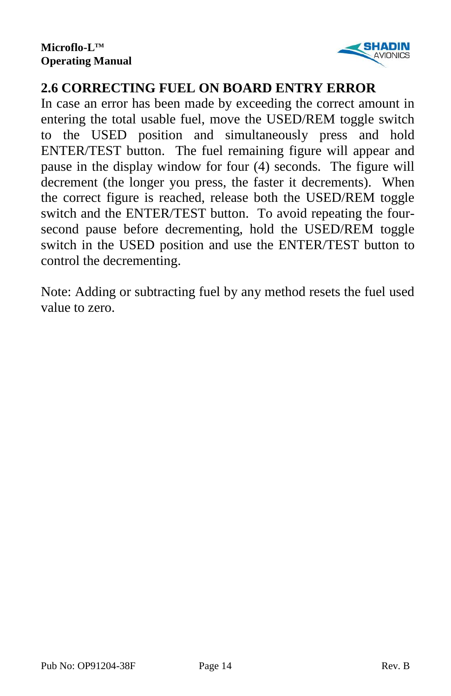

## **2.6 CORRECTING FUEL ON BOARD ENTRY ERROR**

In case an error has been made by exceeding the correct amount in entering the total usable fuel, move the USED/REM toggle switch to the USED position and simultaneously press and hold ENTER/TEST button. The fuel remaining figure will appear and pause in the display window for four (4) seconds. The figure will decrement (the longer you press, the faster it decrements). When the correct figure is reached, release both the USED/REM toggle switch and the ENTER/TEST button. To avoid repeating the foursecond pause before decrementing, hold the USED/REM toggle switch in the USED position and use the ENTER/TEST button to control the decrementing.

Note: Adding or subtracting fuel by any method resets the fuel used value to zero.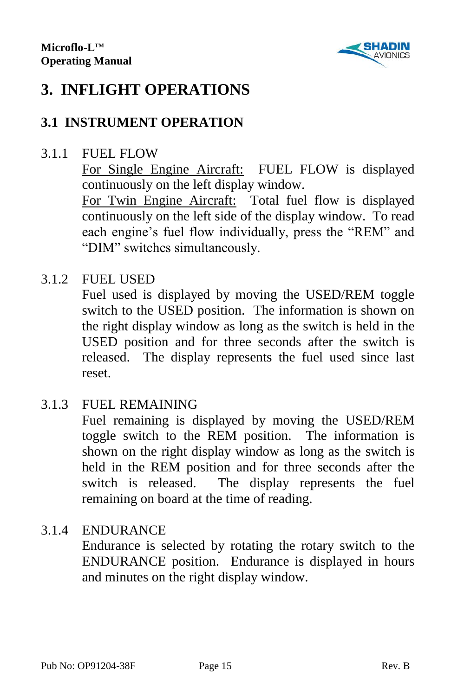

# **3. INFLIGHT OPERATIONS**

## **3.1 INSTRUMENT OPERATION**

#### 3.1.1 FUEL FLOW

For Single Engine Aircraft: FUEL FLOW is displayed continuously on the left display window.

For Twin Engine Aircraft: Total fuel flow is displayed continuously on the left side of the display window. To read each engine's fuel flow individually, press the "REM" and "DIM" switches simultaneously.

#### 3.1.2 FUEL USED

Fuel used is displayed by moving the USED/REM toggle switch to the USED position. The information is shown on the right display window as long as the switch is held in the USED position and for three seconds after the switch is released. The display represents the fuel used since last reset.

#### 3.1.3 FUEL REMAINING

Fuel remaining is displayed by moving the USED/REM toggle switch to the REM position. The information is shown on the right display window as long as the switch is held in the REM position and for three seconds after the switch is released. The display represents the fuel remaining on board at the time of reading.

#### 3.1.4 ENDURANCE

Endurance is selected by rotating the rotary switch to the ENDURANCE position. Endurance is displayed in hours and minutes on the right display window.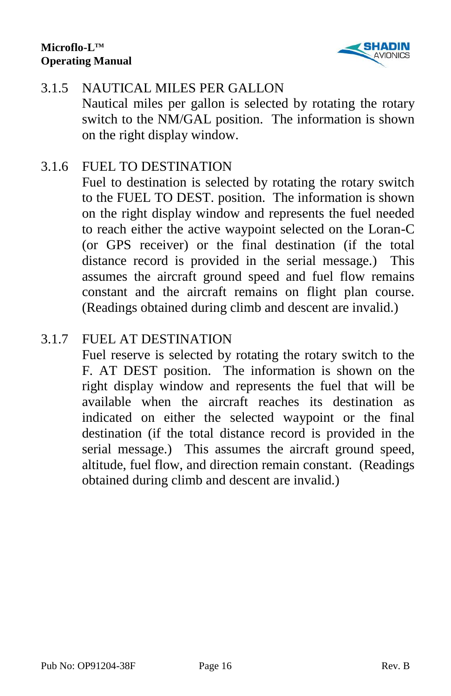

### 3.1.5 NAUTICAL MILES PER GALLON Nautical miles per gallon is selected by rotating the rotary switch to the NM/GAL position. The information is shown on the right display window.

#### 3.1.6 FUEL TO DESTINATION

Fuel to destination is selected by rotating the rotary switch to the FUEL TO DEST. position. The information is shown on the right display window and represents the fuel needed to reach either the active waypoint selected on the Loran-C (or GPS receiver) or the final destination (if the total distance record is provided in the serial message.) This assumes the aircraft ground speed and fuel flow remains constant and the aircraft remains on flight plan course. (Readings obtained during climb and descent are invalid.)

#### 3.1.7 FUEL AT DESTINATION

Fuel reserve is selected by rotating the rotary switch to the F. AT DEST position. The information is shown on the right display window and represents the fuel that will be available when the aircraft reaches its destination as indicated on either the selected waypoint or the final destination (if the total distance record is provided in the serial message.) This assumes the aircraft ground speed, altitude, fuel flow, and direction remain constant. (Readings obtained during climb and descent are invalid.)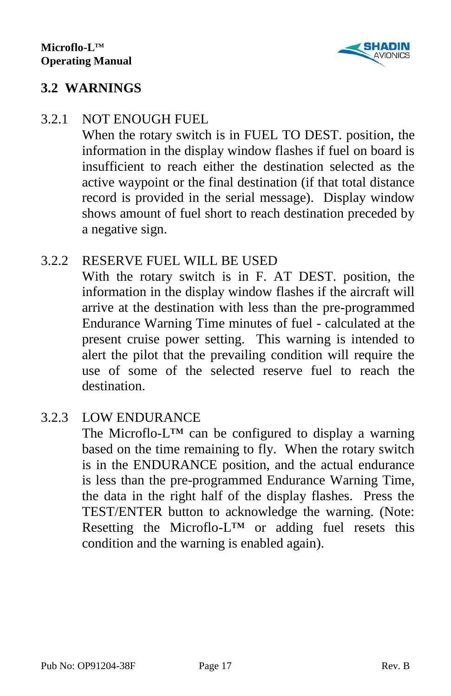

#### **3.2 WARNINGS**

#### 3.2.1 NOT ENOUGH FUEL

When the rotary switch is in FUEL TO DEST. position, the information in the display window flashes if fuel on board is insufficient to reach either the destination selected as the active waypoint or the final destination (if that total distance record is provided in the serial message). Display window shows amount of fuel short to reach destination preceded by a negative sign.

#### 3.2.2 RESERVE FUEL WILL BE USED

With the rotary switch is in F. AT DEST. position, the information in the display window flashes if the aircraft will arrive at the destination with less than the pre-programmed Endurance Warning Time minutes of fuel - calculated at the present cruise power setting. This warning is intended to alert the pilot that the prevailing condition will require the use of some of the selected reserve fuel to reach the destination.

#### 3.2.3 LOW ENDURANCE

The Microflo-L<sup>™</sup> can be configured to display a warning based on the time remaining to fly. When the rotary switch is in the ENDURANCE position, and the actual endurance is less than the pre-programmed Endurance Warning Time, the data in the right half of the display flashes. Press the TEST/ENTER button to acknowledge the warning. (Note: Resetting the Microflo-L™ or adding fuel resets this condition and the warning is enabled again).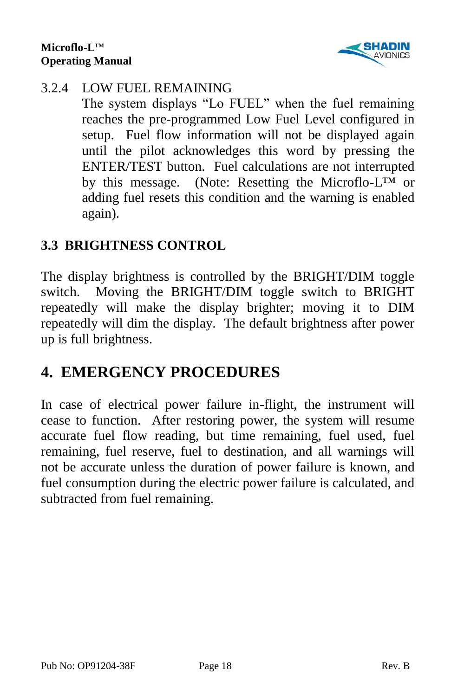

#### 3.2.4 LOW FUEL REMAINING

The system displays "Lo FUEL" when the fuel remaining reaches the pre-programmed Low Fuel Level configured in setup. Fuel flow information will not be displayed again until the pilot acknowledges this word by pressing the ENTER/TEST button. Fuel calculations are not interrupted by this message. (Note: Resetting the Microflo-L™ or adding fuel resets this condition and the warning is enabled again).

## **3.3 BRIGHTNESS CONTROL**

The display brightness is controlled by the BRIGHT/DIM toggle switch. Moving the BRIGHT/DIM toggle switch to BRIGHT repeatedly will make the display brighter; moving it to DIM repeatedly will dim the display. The default brightness after power up is full brightness.

# **4. EMERGENCY PROCEDURES**

In case of electrical power failure in-flight, the instrument will cease to function. After restoring power, the system will resume accurate fuel flow reading, but time remaining, fuel used, fuel remaining, fuel reserve, fuel to destination, and all warnings will not be accurate unless the duration of power failure is known, and fuel consumption during the electric power failure is calculated, and subtracted from fuel remaining.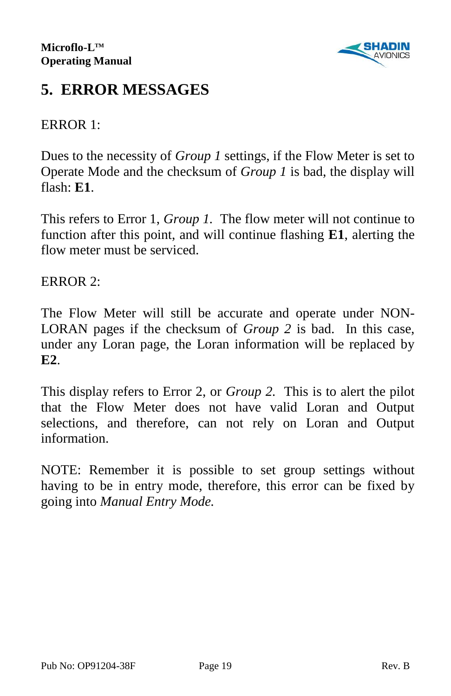

# **5. ERROR MESSAGES**

#### ERROR 1:

Dues to the necessity of *Group 1* settings, if the Flow Meter is set to Operate Mode and the checksum of *Group 1* is bad, the display will flash: **E1**.

This refers to Error 1, *Group 1.* The flow meter will not continue to function after this point, and will continue flashing **E1**, alerting the flow meter must be serviced.

ERROR 2:

The Flow Meter will still be accurate and operate under NON-LORAN pages if the checksum of *Group 2* is bad. In this case, under any Loran page, the Loran information will be replaced by **E2**.

This display refers to Error 2, or *Group 2.* This is to alert the pilot that the Flow Meter does not have valid Loran and Output selections, and therefore, can not rely on Loran and Output information.

NOTE: Remember it is possible to set group settings without having to be in entry mode, therefore, this error can be fixed by going into *Manual Entry Mode.*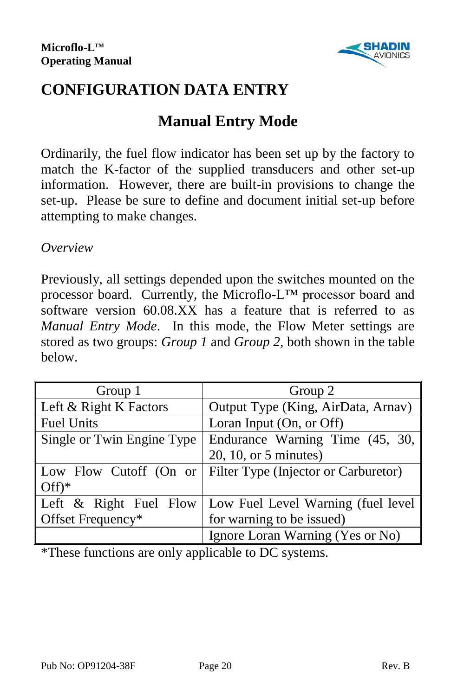

# **CONFIGURATION DATA ENTRY**

# **Manual Entry Mode**

Ordinarily, the fuel flow indicator has been set up by the factory to match the K-factor of the supplied transducers and other set-up information. However, there are built-in provisions to change the set-up. Please be sure to define and document initial set-up before attempting to make changes.

#### *Overview*

Previously, all settings depended upon the switches mounted on the processor board. Currently, the Microflo-L™ processor board and software version 60.08.XX has a feature that is referred to as *Manual Entry Mode*. In this mode, the Flow Meter settings are stored as two groups: *Group 1* and *Group 2,* both shown in the table below.

| Group 1                    | Group 2                              |  |
|----------------------------|--------------------------------------|--|
| Left & Right K Factors     | Output Type (King, AirData, Arnav)   |  |
| <b>Fuel Units</b>          | Loran Input (On, or Off)             |  |
| Single or Twin Engine Type | Endurance Warning Time (45, 30,      |  |
|                            | $20, 10,$ or 5 minutes)              |  |
| Low Flow Cutoff (On or     | Filter Type (Injector or Carburetor) |  |
| $Off)*$                    |                                      |  |
| Left $\&$ Right Fuel Flow  | Low Fuel Level Warning (fuel level   |  |
| Offset Frequency*          | for warning to be issued)            |  |
|                            | Ignore Loran Warning (Yes or No)     |  |

\*These functions are only applicable to DC systems.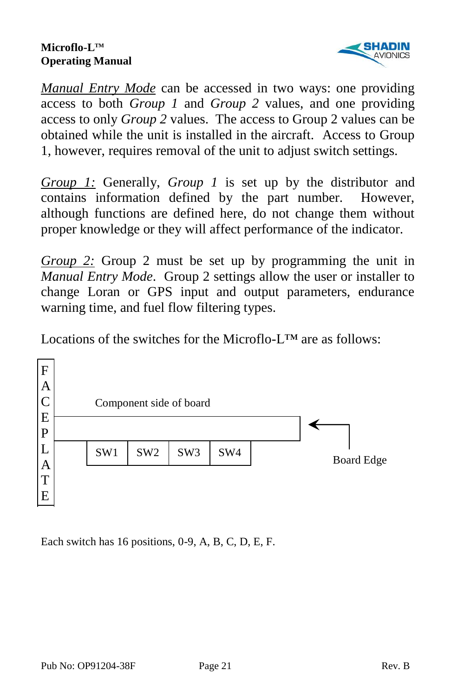

*Manual Entry Mode* can be accessed in two ways: one providing access to both *Group 1* and *Group 2* values, and one providing access to only *Group 2* values. The access to Group 2 values can be obtained while the unit is installed in the aircraft. Access to Group 1, however, requires removal of the unit to adjust switch settings.

*Group 1:* Generally, *Group 1* is set up by the distributor and contains information defined by the part number. However, although functions are defined here, do not change them without proper knowledge or they will affect performance of the indicator.

*Group 2:* Group 2 must be set up by programming the unit in *Manual Entry Mode*. Group 2 settings allow the user or installer to change Loran or GPS input and output parameters, endurance warning time, and fuel flow filtering types.

Locations of the switches for the Microflo- $L^{TM}$  are as follows:



Each switch has 16 positions, 0-9, A, B, C, D, E, F.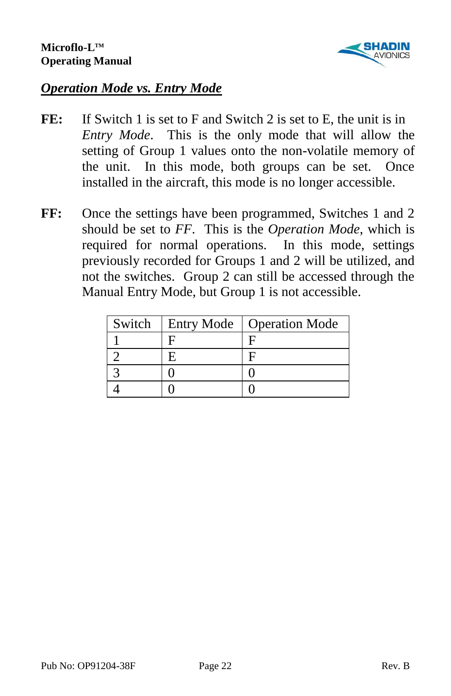

## *Operation Mode vs. Entry Mode*

- FE: If Switch 1 is set to F and Switch 2 is set to E, the unit is in *Entry Mode*. This is the only mode that will allow the setting of Group 1 values onto the non-volatile memory of the unit. In this mode, both groups can be set. Once installed in the aircraft, this mode is no longer accessible.
- FF: Once the settings have been programmed, Switches 1 and 2 should be set to *FF*. This is the *Operation Mode*, which is required for normal operations. In this mode, settings previously recorded for Groups 1 and 2 will be utilized, and not the switches. Group 2 can still be accessed through the Manual Entry Mode, but Group 1 is not accessible.

| Switch | <b>Entry Mode</b> | <b>Operation Mode</b> |
|--------|-------------------|-----------------------|
|        |                   |                       |
|        |                   |                       |
|        |                   |                       |
|        |                   |                       |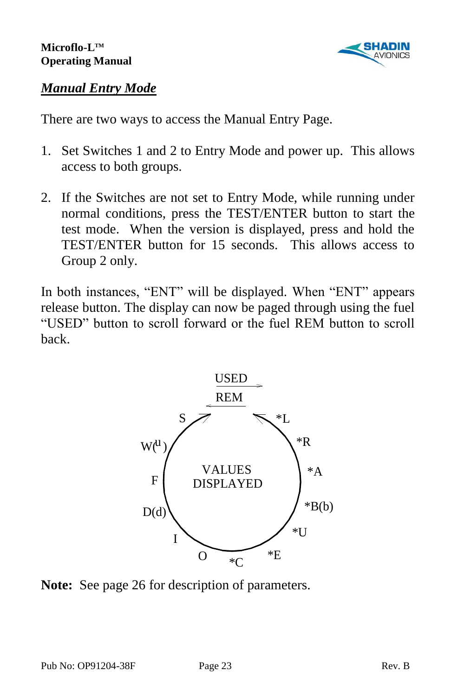

#### *Manual Entry Mode*

There are two ways to access the Manual Entry Page.

- 1. Set Switches 1 and 2 to Entry Mode and power up. This allows access to both groups.
- 2. If the Switches are not set to Entry Mode, while running under normal conditions, press the TEST/ENTER button to start the test mode. When the version is displayed, press and hold the TEST/ENTER button for 15 seconds. This allows access to Group 2 only.

In both instances, "ENT" will be displayed. When "ENT" appears release button. The display can now be paged through using the fuel "USED" button to scroll forward or the fuel REM button to scroll back.



**Note:** See page 26 for description of parameters.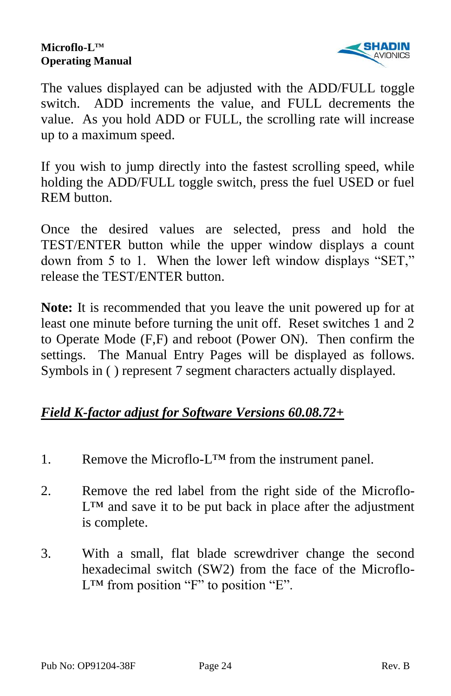

The values displayed can be adjusted with the ADD/FULL toggle switch. ADD increments the value, and FULL decrements the value. As you hold ADD or FULL, the scrolling rate will increase up to a maximum speed.

If you wish to jump directly into the fastest scrolling speed, while holding the ADD/FULL toggle switch, press the fuel USED or fuel REM button.

Once the desired values are selected, press and hold the TEST/ENTER button while the upper window displays a count down from 5 to 1. When the lower left window displays "SET," release the TEST/ENTER button.

**Note:** It is recommended that you leave the unit powered up for at least one minute before turning the unit off. Reset switches 1 and 2 to Operate Mode (F,F) and reboot (Power ON). Then confirm the settings. The Manual Entry Pages will be displayed as follows. Symbols in ( ) represent 7 segment characters actually displayed.

#### *Field K-factor adjust for Software Versions 60.08.72+*

- 1. Remove the Microflo-L<sup>TM</sup> from the instrument panel.
- 2. Remove the red label from the right side of the Microflo- $L^{TM}$  and save it to be put back in place after the adjustment is complete.
- 3. With a small, flat blade screwdriver change the second hexadecimal switch (SW2) from the face of the Microflo- $L^{TM}$  from position "F" to position "E".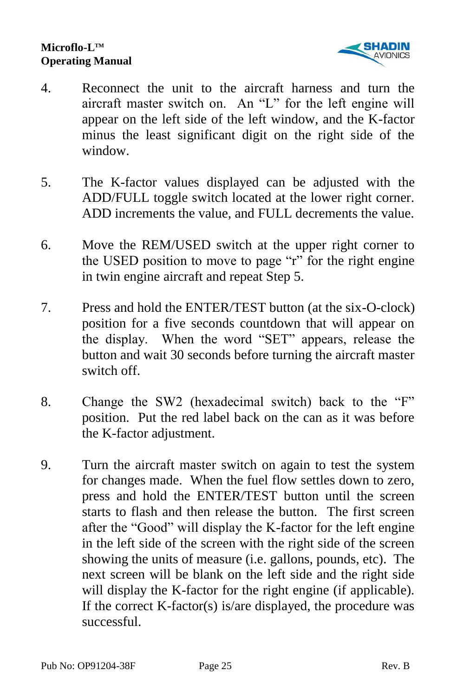

- 4. Reconnect the unit to the aircraft harness and turn the aircraft master switch on. An "L" for the left engine will appear on the left side of the left window, and the K-factor minus the least significant digit on the right side of the window.
- 5. The K-factor values displayed can be adjusted with the ADD/FULL toggle switch located at the lower right corner. ADD increments the value, and FULL decrements the value.
- 6. Move the REM/USED switch at the upper right corner to the USED position to move to page "r" for the right engine in twin engine aircraft and repeat Step 5.
- 7. Press and hold the ENTER/TEST button (at the six-O-clock) position for a five seconds countdown that will appear on the display. When the word "SET" appears, release the button and wait 30 seconds before turning the aircraft master switch off.
- 8. Change the SW2 (hexadecimal switch) back to the "F" position. Put the red label back on the can as it was before the K-factor adjustment.
- 9. Turn the aircraft master switch on again to test the system for changes made. When the fuel flow settles down to zero, press and hold the ENTER/TEST button until the screen starts to flash and then release the button. The first screen after the "Good" will display the K-factor for the left engine in the left side of the screen with the right side of the screen showing the units of measure (i.e. gallons, pounds, etc). The next screen will be blank on the left side and the right side will display the K-factor for the right engine (if applicable). If the correct K-factor(s) is/are displayed, the procedure was successful.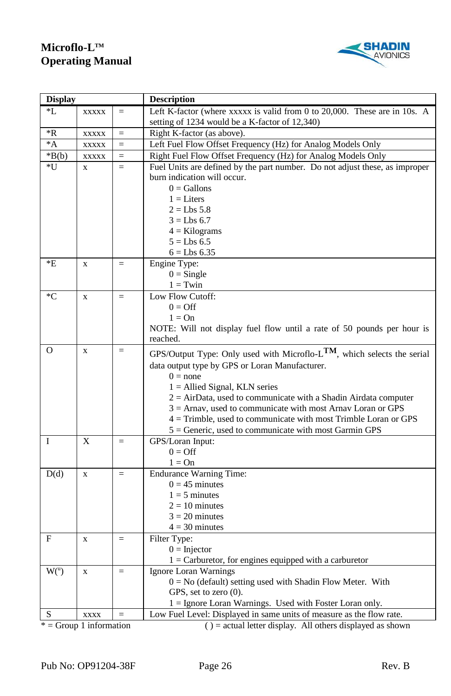

| <b>Display</b>     |              |           | <b>Description</b>                                                                                                                                                                                                                                                                                                                                                                                                                                                                          |  |
|--------------------|--------------|-----------|---------------------------------------------------------------------------------------------------------------------------------------------------------------------------------------------------------------------------------------------------------------------------------------------------------------------------------------------------------------------------------------------------------------------------------------------------------------------------------------------|--|
| *L                 | <b>XXXXX</b> | $=$       | Left K-factor (where xxxxx is valid from 0 to 20,000. These are in 10s. A                                                                                                                                                                                                                                                                                                                                                                                                                   |  |
|                    |              |           | setting of 1234 would be a K-factor of 12,340)                                                                                                                                                                                                                                                                                                                                                                                                                                              |  |
| *R                 | <b>XXXXX</b> | $\quad =$ | Right K-factor (as above).                                                                                                                                                                                                                                                                                                                                                                                                                                                                  |  |
| $^*A$              | <b>XXXXX</b> | $=$       | Left Fuel Flow Offset Frequency (Hz) for Analog Models Only                                                                                                                                                                                                                                                                                                                                                                                                                                 |  |
| $*B(b)$            | <b>XXXXX</b> | $=$       | Right Fuel Flow Offset Frequency (Hz) for Analog Models Only                                                                                                                                                                                                                                                                                                                                                                                                                                |  |
| *U                 | $\mathbf{x}$ | $=$       | Fuel Units are defined by the part number. Do not adjust these, as improper                                                                                                                                                                                                                                                                                                                                                                                                                 |  |
|                    |              |           | burn indication will occur.                                                                                                                                                                                                                                                                                                                                                                                                                                                                 |  |
|                    |              |           | $0 =$ Gallons                                                                                                                                                                                                                                                                                                                                                                                                                                                                               |  |
|                    |              |           | $1 =$ Liters                                                                                                                                                                                                                                                                                                                                                                                                                                                                                |  |
|                    |              |           | $2 = Lbs 5.8$                                                                                                                                                                                                                                                                                                                                                                                                                                                                               |  |
|                    |              |           | $3 = Lbs 6.7$                                                                                                                                                                                                                                                                                                                                                                                                                                                                               |  |
|                    |              |           | $4 =$ Kilograms                                                                                                                                                                                                                                                                                                                                                                                                                                                                             |  |
|                    |              |           | $5 = Lbs 6.5$                                                                                                                                                                                                                                                                                                                                                                                                                                                                               |  |
|                    |              |           | $6 = Lbs 6.35$                                                                                                                                                                                                                                                                                                                                                                                                                                                                              |  |
| *E                 | $\mathbf x$  | $=$       | Engine Type:                                                                                                                                                                                                                                                                                                                                                                                                                                                                                |  |
|                    |              |           | $0 =$ Single                                                                                                                                                                                                                                                                                                                                                                                                                                                                                |  |
|                    |              |           | $1 = Twin$                                                                                                                                                                                                                                                                                                                                                                                                                                                                                  |  |
| $C^*C$             | $\mathbf x$  | $\quad =$ | Low Flow Cutoff:                                                                                                                                                                                                                                                                                                                                                                                                                                                                            |  |
|                    |              |           | $0 = \text{Off}$                                                                                                                                                                                                                                                                                                                                                                                                                                                                            |  |
|                    |              |           | $1 = On$                                                                                                                                                                                                                                                                                                                                                                                                                                                                                    |  |
|                    |              |           | NOTE: Will not display fuel flow until a rate of 50 pounds per hour is                                                                                                                                                                                                                                                                                                                                                                                                                      |  |
|                    |              |           | reached.                                                                                                                                                                                                                                                                                                                                                                                                                                                                                    |  |
| $\overline{O}$     | $\mathbf x$  | $\quad =$ | GPS/Output Type: Only used with Microflo-LTM, which selects the serial                                                                                                                                                                                                                                                                                                                                                                                                                      |  |
|                    |              |           | data output type by GPS or Loran Manufacturer.                                                                                                                                                                                                                                                                                                                                                                                                                                              |  |
|                    |              |           | $0 = none$                                                                                                                                                                                                                                                                                                                                                                                                                                                                                  |  |
|                    |              |           | $1 =$ Allied Signal, KLN series                                                                                                                                                                                                                                                                                                                                                                                                                                                             |  |
|                    |              |           | $2 = AirData$ , used to communicate with a Shadin Airdata computer                                                                                                                                                                                                                                                                                                                                                                                                                          |  |
|                    |              |           | $3 =$ Arnay, used to communicate with most Arnay Loran or GPS                                                                                                                                                                                                                                                                                                                                                                                                                               |  |
|                    |              |           | $4 =$ Trimble, used to communicate with most Trimble Loran or GPS                                                                                                                                                                                                                                                                                                                                                                                                                           |  |
|                    |              |           | $5 =$ Generic, used to communicate with most Garmin GPS                                                                                                                                                                                                                                                                                                                                                                                                                                     |  |
| I                  | $\mathbf{x}$ | $=$       | GPS/Loran Input:                                                                                                                                                                                                                                                                                                                                                                                                                                                                            |  |
|                    |              |           | $0 = \text{Off}$                                                                                                                                                                                                                                                                                                                                                                                                                                                                            |  |
|                    |              |           | $1 = On$                                                                                                                                                                                                                                                                                                                                                                                                                                                                                    |  |
| D(d)               | $\mathbf x$  | $\quad =$ | <b>Endurance Warning Time:</b>                                                                                                                                                                                                                                                                                                                                                                                                                                                              |  |
|                    |              |           | $0 = 45$ minutes                                                                                                                                                                                                                                                                                                                                                                                                                                                                            |  |
|                    |              |           | $1 = 5$ minutes                                                                                                                                                                                                                                                                                                                                                                                                                                                                             |  |
|                    |              |           | $2 = 10$ minutes                                                                                                                                                                                                                                                                                                                                                                                                                                                                            |  |
|                    |              |           | $3 = 20$ minutes                                                                                                                                                                                                                                                                                                                                                                                                                                                                            |  |
|                    |              |           | $4 = 30$ minutes                                                                                                                                                                                                                                                                                                                                                                                                                                                                            |  |
| F                  | $\mathbf x$  | $=$       | Filter Type:                                                                                                                                                                                                                                                                                                                                                                                                                                                                                |  |
|                    |              |           | $0 = Injector$                                                                                                                                                                                                                                                                                                                                                                                                                                                                              |  |
|                    |              |           | $1 =$ Carburetor, for engines equipped with a carburetor                                                                                                                                                                                                                                                                                                                                                                                                                                    |  |
| $\overline{W(}^u)$ | $\mathbf{x}$ | $\quad =$ | Ignore Loran Warnings                                                                                                                                                                                                                                                                                                                                                                                                                                                                       |  |
|                    |              |           | $0 = No$ (default) setting used with Shadin Flow Meter. With                                                                                                                                                                                                                                                                                                                                                                                                                                |  |
|                    |              |           | GPS, set to zero (0).                                                                                                                                                                                                                                                                                                                                                                                                                                                                       |  |
|                    |              |           | 1 = Ignore Loran Warnings. Used with Foster Loran only.                                                                                                                                                                                                                                                                                                                                                                                                                                     |  |
| S                  | <b>XXXX</b>  | $=$       | Low Fuel Level: Displayed in same units of measure as the flow rate.                                                                                                                                                                                                                                                                                                                                                                                                                        |  |
| $\sim$             | 1:2:2        |           | $\langle \cdot \rangle$ and $\langle \cdot \rangle$ and $\langle \cdot \rangle$ and $\langle \cdot \rangle$ and $\langle \cdot \rangle$ and $\langle \cdot \rangle$ and $\langle \cdot \rangle$ and $\langle \cdot \rangle$ and $\langle \cdot \rangle$ and $\langle \cdot \rangle$ and $\langle \cdot \rangle$ and $\langle \cdot \rangle$ and $\langle \cdot \rangle$ and $\langle \cdot \rangle$ and $\langle \cdot \rangle$ and $\langle \cdot \rangle$ and $\langle \cdot \rangle$ and |  |

= Group 1 information ( ) = actual letter display. All others displayed as shown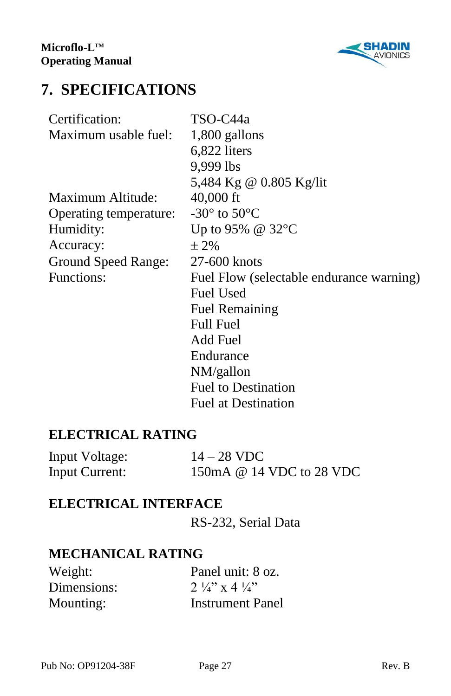

# **7. SPECIFICATIONS**

| Certification:         | TSO-C44a                                 |  |
|------------------------|------------------------------------------|--|
| Maximum usable fuel:   | 1,800 gallons                            |  |
|                        | 6,822 liters                             |  |
|                        | 9,999 lbs                                |  |
|                        | 5,484 Kg @ 0.805 Kg/lit                  |  |
| Maximum Altitude:      | $40,000$ ft                              |  |
| Operating temperature: | $-30^\circ$ to $50^\circ$ C              |  |
| Humidity:              | Up to 95% @ 32°C                         |  |
| Accuracy:              | $\pm 2\%$                                |  |
| Ground Speed Range:    | 27-600 knots                             |  |
| Functions:             | Fuel Flow (selectable endurance warning) |  |
|                        | <b>Fuel Used</b>                         |  |
|                        | <b>Fuel Remaining</b>                    |  |
|                        | <b>Full Fuel</b>                         |  |
|                        | <b>Add Fuel</b>                          |  |
|                        | Endurance                                |  |
|                        | NM/gallon                                |  |
|                        | <b>Fuel to Destination</b>               |  |
|                        | <b>Fuel at Destination</b>               |  |

### **ELECTRICAL RATING**

| Input Voltage:        | $14 - 28$ VDC            |
|-----------------------|--------------------------|
| <b>Input Current:</b> | 150mA @ 14 VDC to 28 VDC |

## **ELECTRICAL INTERFACE**

RS-232, Serial Data

## **MECHANICAL RATING**

| Weight:     | Panel unit: 8 oz.                |
|-------------|----------------------------------|
| Dimensions: | $2\frac{1}{4}$ x 4 $\frac{1}{4}$ |
| Mounting:   | <b>Instrument Panel</b>          |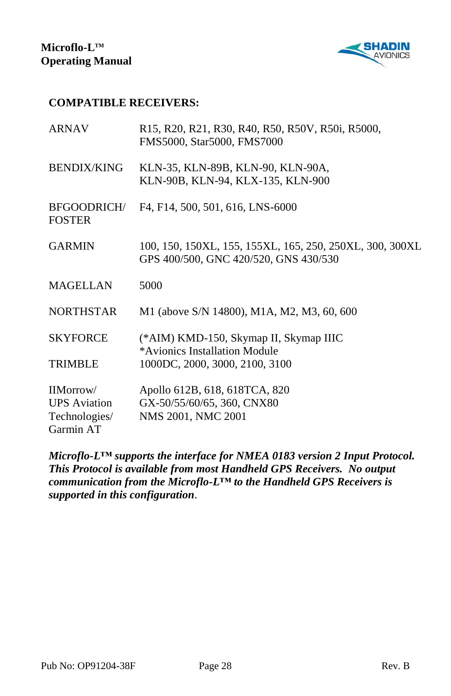

#### **COMPATIBLE RECEIVERS:**

| <b>ARNAV</b>                                                   | R15, R20, R21, R30, R40, R50, R50V, R50i, R5000,<br>FMS5000, Star5000, FMS7000                    |
|----------------------------------------------------------------|---------------------------------------------------------------------------------------------------|
| <b>BENDIX/KING</b>                                             | KLN-35, KLN-89B, KLN-90, KLN-90A,<br>KLN-90B, KLN-94, KLX-135, KLN-900                            |
| <b>BFGOODRICH/</b><br><b>FOSTER</b>                            | F4, F14, 500, 501, 616, LNS-6000                                                                  |
| <b>GARMIN</b>                                                  | 100, 150, 150XL, 155, 155XL, 165, 250, 250XL, 300, 300XL<br>GPS 400/500, GNC 420/520, GNS 430/530 |
| <b>MAGELLAN</b>                                                | 5000                                                                                              |
| <b>NORTHSTAR</b>                                               | M1 (above S/N 14800), M1A, M2, M3, 60, 600                                                        |
| <b>SKYFORCE</b>                                                | (*AIM) KMD-150, Skymap II, Skymap IIIC<br>*Avionics Installation Module                           |
| <b>TRIMBLE</b>                                                 | 1000DC, 2000, 3000, 2100, 3100                                                                    |
| IIMorrow/<br><b>UPS</b> Aviation<br>Technologies/<br>Garmin AT | Apollo 612B, 618, 618TCA, 820<br>GX-50/55/60/65, 360, CNX80<br>NMS 2001, NMC 2001                 |

*Microflo-L***™** *supports the interface for NMEA 0183 version 2 Input Protocol. This Protocol is available from most Handheld GPS Receivers. No output communication from the Microflo-L***™** *to the Handheld GPS Receivers is supported in this configuration*.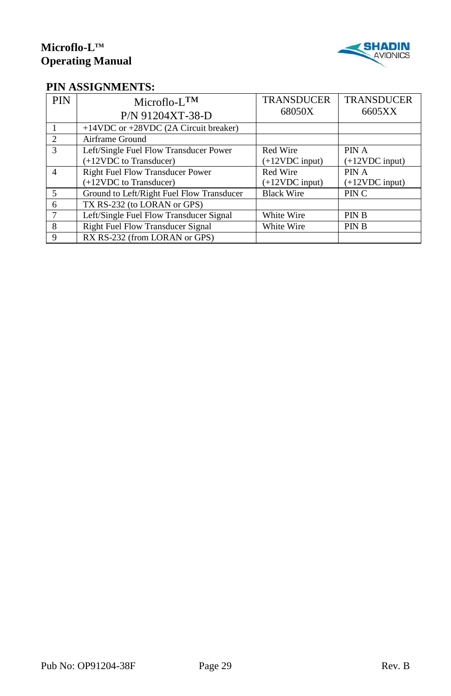

#### **PIN ASSIGNMENTS:**

| <b>PIN</b>     | $Microflo-L^{TM}$<br>P/N 91204XT-38-D     | <b>TRANSDUCER</b><br>68050X | <b>TRANSDUCER</b><br>6605XX |
|----------------|-------------------------------------------|-----------------------------|-----------------------------|
|                | $+14VDC$ or $+28VDC$ (2A Circuit breaker) |                             |                             |
| $\mathcal{D}$  | Airframe Ground                           |                             |                             |
| $\mathcal{R}$  | Left/Single Fuel Flow Transducer Power    | Red Wire                    | PIN A                       |
|                | (+12VDC to Transducer)                    | $(+12VDC input)$            | $(+12VDC input)$            |
| $\overline{4}$ | <b>Right Fuel Flow Transducer Power</b>   | Red Wire                    | PIN A                       |
|                | (+12VDC to Transducer)                    | $(+12VDC input)$            | $(+12VDC input)$            |
| $\overline{5}$ | Ground to Left/Right Fuel Flow Transducer | <b>Black Wire</b>           | PIN C                       |
| 6              | TX RS-232 (to LORAN or GPS)               |                             |                             |
|                | Left/Single Fuel Flow Transducer Signal   | White Wire                  | <b>PINB</b>                 |
| 8              | <b>Right Fuel Flow Transducer Signal</b>  | White Wire                  | <b>PINB</b>                 |
| 9              | RX RS-232 (from LORAN or GPS)             |                             |                             |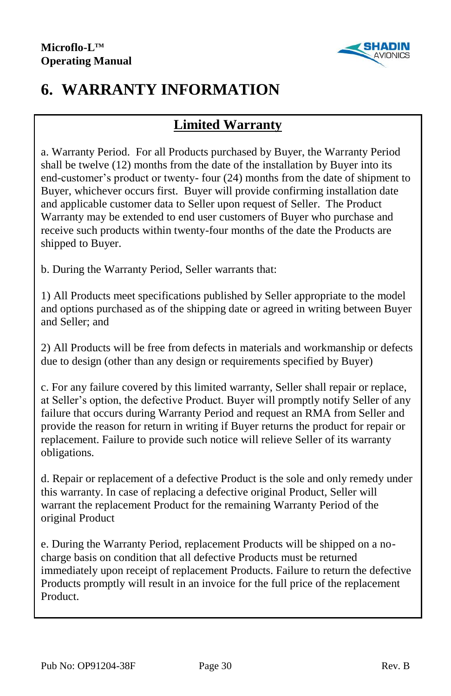

# **6. WARRANTY INFORMATION**

## **Limited Warranty**

a. Warranty Period. For all Products purchased by Buyer, the Warranty Period shall be twelve (12) months from the date of the installation by Buyer into its end-customer's product or twenty- four (24) months from the date of shipment to Buyer, whichever occurs first. Buyer will provide confirming installation date and applicable customer data to Seller upon request of Seller. The Product Warranty may be extended to end user customers of Buyer who purchase and receive such products within twenty-four months of the date the Products are shipped to Buyer.

b. During the Warranty Period, Seller warrants that:

1) All Products meet specifications published by Seller appropriate to the model and options purchased as of the shipping date or agreed in writing between Buyer and Seller; and

2) All Products will be free from defects in materials and workmanship or defects due to design (other than any design or requirements specified by Buyer)

c. For any failure covered by this limited warranty, Seller shall repair or replace, at Seller's option, the defective Product. Buyer will promptly notify Seller of any failure that occurs during Warranty Period and request an RMA from Seller and provide the reason for return in writing if Buyer returns the product for repair or replacement. Failure to provide such notice will relieve Seller of its warranty obligations.

d. Repair or replacement of a defective Product is the sole and only remedy under this warranty. In case of replacing a defective original Product, Seller will warrant the replacement Product for the remaining Warranty Period of the original Product

e. During the Warranty Period, replacement Products will be shipped on a nocharge basis on condition that all defective Products must be returned immediately upon receipt of replacement Products. Failure to return the defective Products promptly will result in an invoice for the full price of the replacement Product.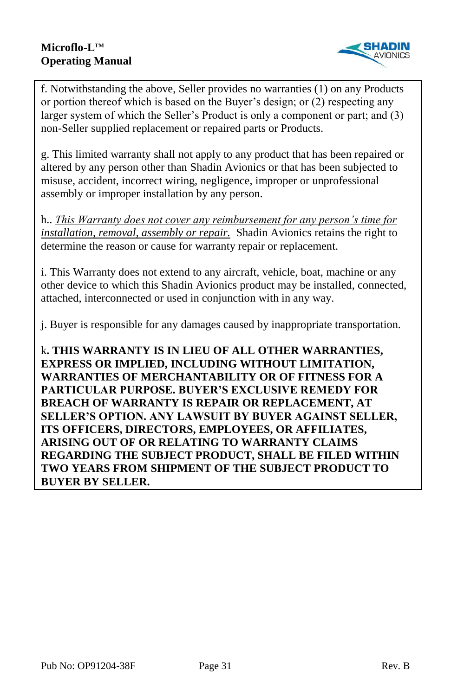

f. Notwithstanding the above, Seller provides no warranties (1) on any Products or portion thereof which is based on the Buyer's design; or (2) respecting any larger system of which the Seller's Product is only a component or part; and (3) non-Seller supplied replacement or repaired parts or Products.

g. This limited warranty shall not apply to any product that has been repaired or altered by any person other than Shadin Avionics or that has been subjected to misuse, accident, incorrect wiring, negligence, improper or unprofessional assembly or improper installation by any person.

h.. *This Warranty does not cover any reimbursement for any person's time for installation, removal, assembly or repair.* Shadin Avionics retains the right to determine the reason or cause for warranty repair or replacement.

i. This Warranty does not extend to any aircraft, vehicle, boat, machine or any other device to which this Shadin Avionics product may be installed, connected, attached, interconnected or used in conjunction with in any way.

j. Buyer is responsible for any damages caused by inappropriate transportation.

k**. THIS WARRANTY IS IN LIEU OF ALL OTHER WARRANTIES, EXPRESS OR IMPLIED, INCLUDING WITHOUT LIMITATION, WARRANTIES OF MERCHANTABILITY OR OF FITNESS FOR A PARTICULAR PURPOSE. BUYER'S EXCLUSIVE REMEDY FOR BREACH OF WARRANTY IS REPAIR OR REPLACEMENT, AT SELLER'S OPTION. ANY LAWSUIT BY BUYER AGAINST SELLER, ITS OFFICERS, DIRECTORS, EMPLOYEES, OR AFFILIATES, ARISING OUT OF OR RELATING TO WARRANTY CLAIMS REGARDING THE SUBJECT PRODUCT, SHALL BE FILED WITHIN TWO YEARS FROM SHIPMENT OF THE SUBJECT PRODUCT TO BUYER BY SELLER.**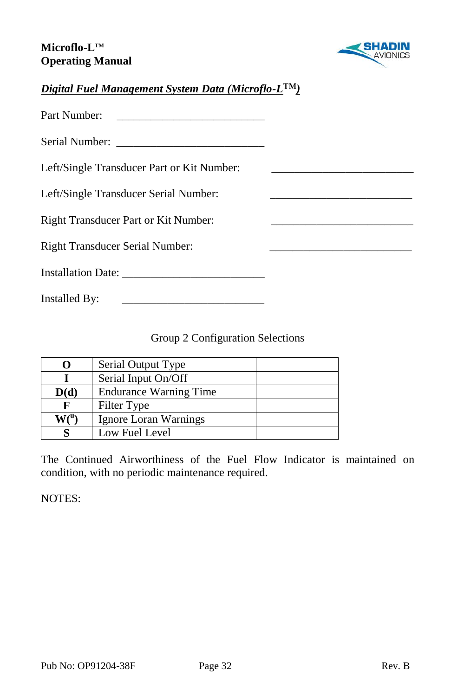

#### *Digital Fuel Management System Data (Microflo-L*™*)*

| Part Number:                               |  |
|--------------------------------------------|--|
|                                            |  |
| Left/Single Transducer Part or Kit Number: |  |
| Left/Single Transducer Serial Number:      |  |
| Right Transducer Part or Kit Number:       |  |
| <b>Right Transducer Serial Number:</b>     |  |
|                                            |  |
| Installed By:                              |  |

#### Group 2 Configuration Selections

| 0    | Serial Output Type            |  |
|------|-------------------------------|--|
|      | Serial Input On/Off           |  |
| D(d) | <b>Endurance Warning Time</b> |  |
| F    | Filter Type                   |  |
|      | Ignore Loran Warnings         |  |
|      | Low Fuel Level                |  |

The Continued Airworthiness of the Fuel Flow Indicator is maintained on condition, with no periodic maintenance required.

NOTES: